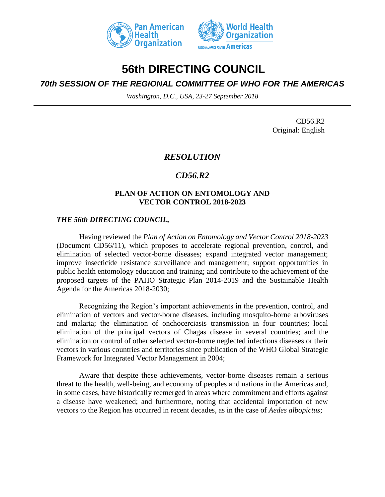



# **56th DIRECTING COUNCIL**

## *70th SESSION OF THE REGIONAL COMMITTEE OF WHO FOR THE AMERICAS*

*Washington, D.C., USA, 23-27 September 2018*

CD56.R2 Original: English

### *RESOLUTION*

## *CD56.R2*

#### **PLAN OF ACTION ON ENTOMOLOGY AND VECTOR CONTROL 2018-2023**

#### *THE 56th DIRECTING COUNCIL,*

Having reviewed the *Plan of Action on Entomology and Vector Control 2018-2023* (Document CD56/11), which proposes to accelerate regional prevention, control, and elimination of selected vector-borne diseases; expand integrated vector management; improve insecticide resistance surveillance and management; support opportunities in public health entomology education and training; and contribute to the achievement of the proposed targets of the PAHO Strategic Plan 2014-2019 and the Sustainable Health Agenda for the Americas 2018-2030;

Recognizing the Region's important achievements in the prevention, control, and elimination of vectors and vector-borne diseases, including mosquito-borne arboviruses and malaria; the elimination of onchocerciasis transmission in four countries; local elimination of the principal vectors of Chagas disease in several countries; and the elimination or control of other selected vector-borne neglected infectious diseases or their vectors in various countries and territories since publication of the WHO Global Strategic Framework for Integrated Vector Management in 2004;

Aware that despite these achievements, vector-borne diseases remain a serious threat to the health, well-being, and economy of peoples and nations in the Americas and, in some cases, have historically reemerged in areas where commitment and efforts against a disease have weakened; and furthermore, noting that accidental importation of new vectors to the Region has occurred in recent decades, as in the case of *Aedes albopictus*;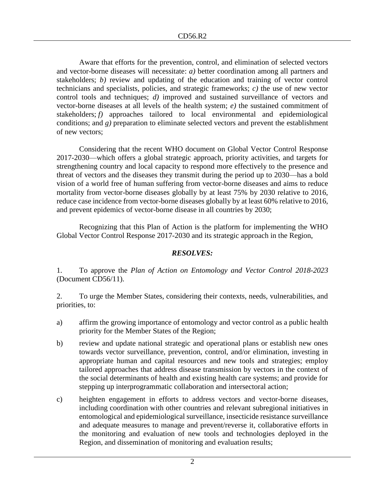Aware that efforts for the prevention, control, and elimination of selected vectors and vector-borne diseases will necessitate: *a)* better coordination among all partners and stakeholders; *b)* review and updating of the education and training of vector control technicians and specialists, policies, and strategic frameworks; *c)* the use of new vector control tools and techniques; *d)* improved and sustained surveillance of vectors and vector-borne diseases at all levels of the health system; *e)* the sustained commitment of stakeholders; *f*) approaches tailored to local environmental and epidemiological conditions; and *g)* preparation to eliminate selected vectors and prevent the establishment of new vectors;

Considering that the recent WHO document on Global Vector Control Response 2017-2030—which offers a global strategic approach, priority activities, and targets for strengthening country and local capacity to respond more effectively to the presence and threat of vectors and the diseases they transmit during the period up to 2030—has a bold vision of a world free of human suffering from vector-borne diseases and aims to reduce mortality from vector-borne diseases globally by at least 75% by 2030 relative to 2016, reduce case incidence from vector-borne diseases globally by at least 60% relative to 2016, and prevent epidemics of vector-borne disease in all countries by 2030;

Recognizing that this Plan of Action is the platform for implementing the WHO Global Vector Control Response 2017-2030 and its strategic approach in the Region,

#### *RESOLVES:*

1. To approve the *Plan of Action on Entomology and Vector Control 2018-2023* (Document CD56/11).

2. To urge the Member States, considering their contexts, needs, vulnerabilities, and priorities, to:

- a) affirm the growing importance of entomology and vector control as a public health priority for the Member States of the Region;
- b) review and update national strategic and operational plans or establish new ones towards vector surveillance, prevention, control, and/or elimination, investing in appropriate human and capital resources and new tools and strategies; employ tailored approaches that address disease transmission by vectors in the context of the social determinants of health and existing health care systems; and provide for stepping up interprogrammatic collaboration and intersectoral action;
- c) heighten engagement in efforts to address vectors and vector-borne diseases, including coordination with other countries and relevant subregional initiatives in entomological and epidemiological surveillance, insecticide resistance surveillance and adequate measures to manage and prevent/reverse it, collaborative efforts in the monitoring and evaluation of new tools and technologies deployed in the Region, and dissemination of monitoring and evaluation results;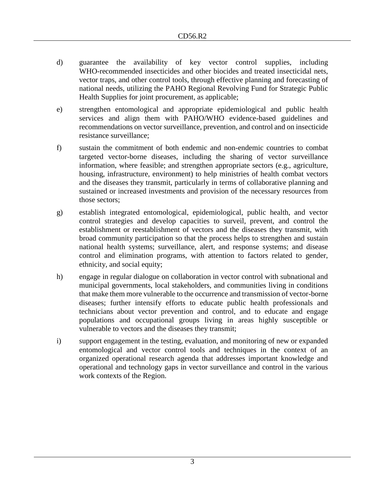- d) guarantee the availability of key vector control supplies, including WHO-recommended insecticides and other biocides and treated insecticidal nets, vector traps, and other control tools, through effective planning and forecasting of national needs, utilizing the PAHO Regional Revolving Fund for Strategic Public Health Supplies for joint procurement, as applicable;
- e) strengthen entomological and appropriate epidemiological and public health services and align them with PAHO/WHO evidence-based guidelines and recommendations on vector surveillance, prevention, and control and on insecticide resistance surveillance;
- f) sustain the commitment of both endemic and non-endemic countries to combat targeted vector-borne diseases, including the sharing of vector surveillance information, where feasible; and strengthen appropriate sectors (e.g., agriculture, housing, infrastructure, environment) to help ministries of health combat vectors and the diseases they transmit, particularly in terms of collaborative planning and sustained or increased investments and provision of the necessary resources from those sectors;
- g) establish integrated entomological, epidemiological, public health, and vector control strategies and develop capacities to surveil, prevent, and control the establishment or reestablishment of vectors and the diseases they transmit, with broad community participation so that the process helps to strengthen and sustain national health systems; surveillance, alert, and response systems; and disease control and elimination programs, with attention to factors related to gender, ethnicity, and social equity;
- h) engage in regular dialogue on collaboration in vector control with subnational and municipal governments, local stakeholders, and communities living in conditions that make them more vulnerable to the occurrence and transmission of vector-borne diseases; further intensify efforts to educate public health professionals and technicians about vector prevention and control, and to educate and engage populations and occupational groups living in areas highly susceptible or vulnerable to vectors and the diseases they transmit;
- i) support engagement in the testing, evaluation, and monitoring of new or expanded entomological and vector control tools and techniques in the context of an organized operational research agenda that addresses important knowledge and operational and technology gaps in vector surveillance and control in the various work contexts of the Region.